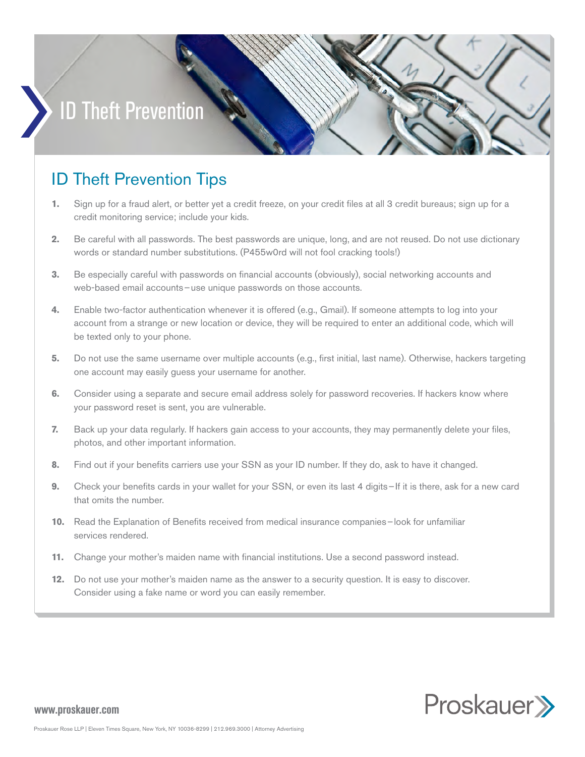## ID Theft Prevention

## ID Theft Prevention Tips

- **1.** Sign up for a fraud alert, or better yet a credit freeze, on your credit files at all 3 credit bureaus; sign up for a credit monitoring service; include your kids.
- **2.** Be careful with all passwords. The best passwords are unique, long, and are not reused. Do not use dictionary words or standard number substitutions. (P455w0rd will not fool cracking tools!)
- **3.** Be especially careful with passwords on financial accounts (obviously), social networking accounts and web-based email accounts–use unique passwords on those accounts.
- **4.** Enable two-factor authentication whenever it is offered (e.g., Gmail). If someone attempts to log into your account from a strange or new location or device, they will be required to enter an additional code, which will be texted only to your phone.
- **5.** Do not use the same username over multiple accounts (e.g., first initial, last name). Otherwise, hackers targeting one account may easily guess your username for another.
- **6.** Consider using a separate and secure email address solely for password recoveries. If hackers know where your password reset is sent, you are vulnerable.
- **7.** Back up your data regularly. If hackers gain access to your accounts, they may permanently delete your files, photos, and other important information.
- **8.** Find out if your benefits carriers use your SSN as your ID number. If they do, ask to have it changed.
- **9.** Check your benefits cards in your wallet for your SSN, or even its last 4 digits–If it is there, ask for a new card that omits the number.
- **10.** Read the Explanation of Benefits received from medical insurance companies–look for unfamiliar services rendered.
- **11.** Change your mother's maiden name with financial institutions. Use a second password instead.
- **12.** Do not use your mother's maiden name as the answer to a security question. It is easy to discover. Consider using a fake name or word you can easily remember.



## **www.proskauer.com**